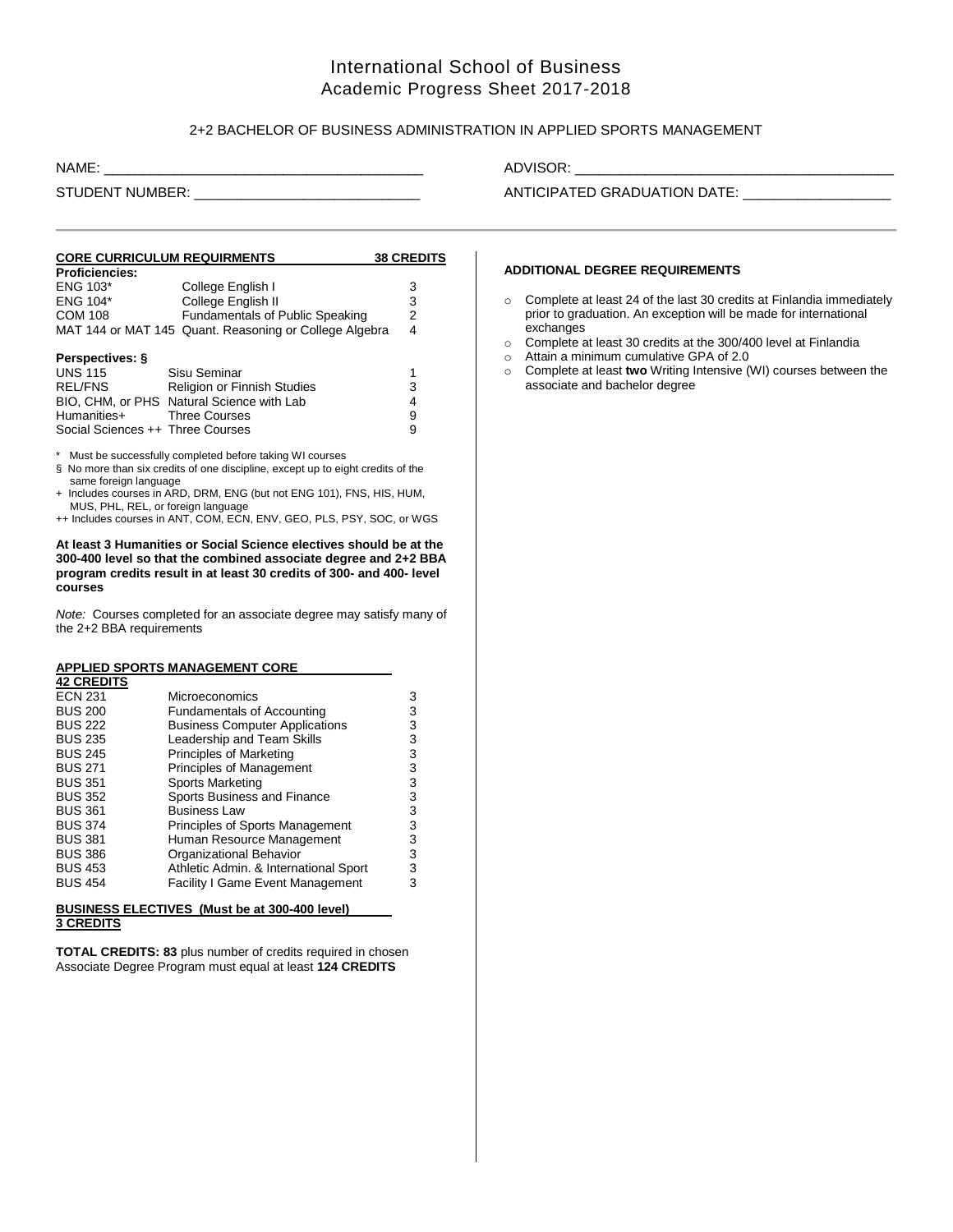# International School of Business Academic Progress Sheet 2017-2018

## 2+2 BACHELOR OF BUSINESS ADMINISTRATION IN APPLIED SPORTS MANAGEMENT

| NAME: |  |  |  |
|-------|--|--|--|
|       |  |  |  |
|       |  |  |  |

## ADVISOR: \_\_

STUDENT NUMBER: \_\_\_\_\_\_\_\_\_\_\_\_\_\_\_\_\_\_\_\_\_\_\_\_\_\_\_\_\_ ANTICIPATED GRADUATION DATE: \_\_\_\_\_\_\_\_\_\_\_\_\_\_\_\_\_\_\_

#### **CORE CURRICULUM REQUIRMENTS 38 CREDITS Proficiencies:** ENG 103\* College English I 3<br>ENG 104\* College English II 3 College English II 3 COM 108 Fundamentals of Public Speaking 2 MAT 144 or MAT 145 Quant. Reasoning or College Algebra 4 **Perspectives: §** UNS 115 Sisu Seminar 1

| UNS 115                          | Sisu Seminar                              |   |
|----------------------------------|-------------------------------------------|---|
| REL/FNS                          | <b>Religion or Finnish Studies</b>        | 3 |
|                                  | BIO. CHM. or PHS Natural Science with Lab | Δ |
| Humanities+                      | <b>Three Courses</b>                      | 9 |
| Social Sciences ++ Three Courses |                                           | 9 |

\* Must be successfully completed before taking WI courses

+ Includes courses in ARD, DRM, ENG (but not ENG 101), FNS, HIS, HUM, MUS, PHL, REL, or foreign language

++ Includes courses in ANT, COM, ECN, ENV, GEO, PLS, PSY, SOC, or WGS

**At least 3 Humanities or Social Science electives should be at the 300-400 level so that the combined associate degree and 2+2 BBA program credits result in at least 30 credits of 300- and 400- level courses**

*Note:* Courses completed for an associate degree may satisfy many of the 2+2 BBA requirements

## **APPLIED SPORTS MANAGEMENT CORE**

| <b>42 CREDITS</b> |                                         |   |
|-------------------|-----------------------------------------|---|
| <b>ECN 231</b>    | Microeconomics                          | 3 |
| <b>BUS 200</b>    | <b>Fundamentals of Accounting</b>       | 3 |
| <b>BUS 222</b>    | <b>Business Computer Applications</b>   | 3 |
| <b>BUS 235</b>    | Leadership and Team Skills              | 3 |
| <b>BUS 245</b>    | Principles of Marketing                 | 3 |
| <b>BUS 271</b>    | Principles of Management                | 3 |
| <b>BUS 351</b>    | Sports Marketing                        | 3 |
| <b>BUS 352</b>    | Sports Business and Finance             | 3 |
| <b>BUS 361</b>    | <b>Business Law</b>                     | 3 |
| <b>BUS 374</b>    | <b>Principles of Sports Management</b>  | 3 |
| <b>BUS 381</b>    | Human Resource Management               | 3 |
| <b>BUS 386</b>    | Organizational Behavior                 | 3 |
| <b>BUS 453</b>    | Athletic Admin. & International Sport   | 3 |
| <b>BUS 454</b>    | <b>Facility I Game Event Management</b> | 3 |
|                   |                                         |   |

#### **BUSINESS ELECTIVES (Must be at 300-400 level) 3 CREDITS**

**TOTAL CREDITS: 83** plus number of credits required in chosen Associate Degree Program must equal at least **124 CREDITS**

#### **ADDITIONAL DEGREE REQUIREMENTS**

- o Complete at least 24 of the last 30 credits at Finlandia immediately prior to graduation. An exception will be made for international exchanges
- o Complete at least 30 credits at the 300/400 level at Finlandia
- o Attain a minimum cumulative GPA of 2.0
- o Complete at least **two** Writing Intensive (WI) courses between the associate and bachelor degree

<sup>§</sup> No more than six credits of one discipline, except up to eight credits of the same foreign language